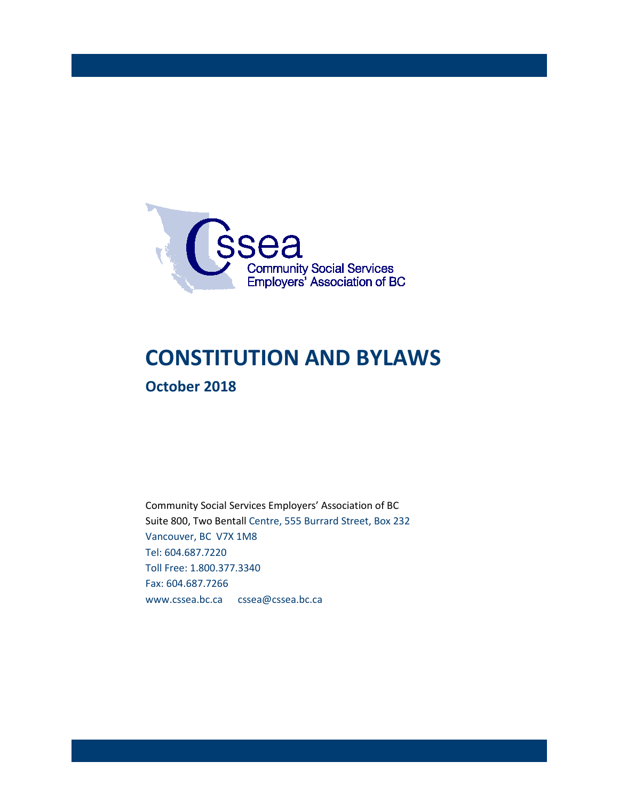

# **CONSTITUTION AND BYLAWS October 2018**

Community Social Services Employers' Association of BC Suite 800, Two Bentall Centre, 555 Burrard Street, Box 232 Vancouver, BC V7X 1M8 Tel: 604.687.7220 Toll Free: 1.800.377.3340 Fax: 604.687.7266 www.cssea.bc.ca cssea@cssea.bc.ca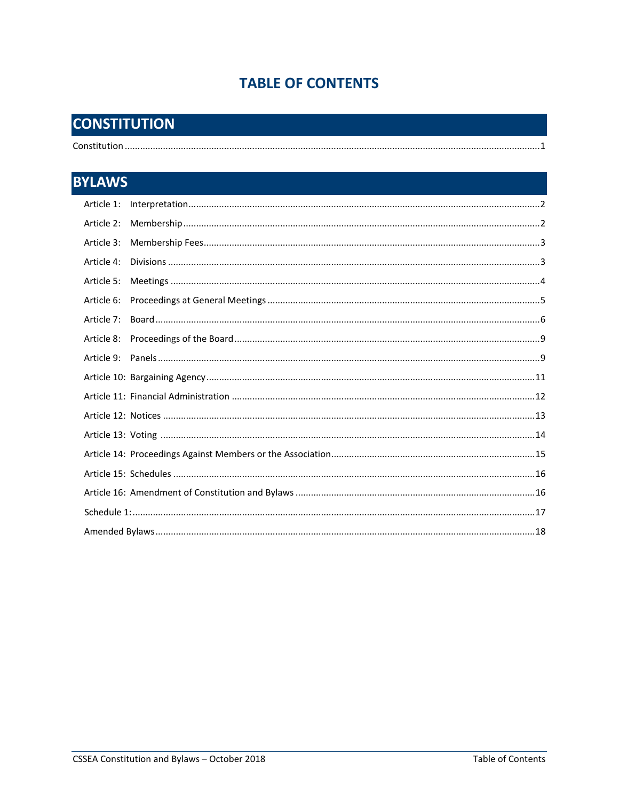# **TABLE OF CONTENTS**

# **CONSTITUTION**

 $\overline{\mathbf{R}}$ 

| <b>BYLAWS</b> |  |  |
|---------------|--|--|
| Article 1:    |  |  |
| Article 2:    |  |  |
| Article 3:    |  |  |
| Article 4:    |  |  |
| Article 5:    |  |  |
| Article 6:    |  |  |
| Article 7:    |  |  |
| Article 8:    |  |  |
|               |  |  |
|               |  |  |
|               |  |  |
|               |  |  |
|               |  |  |
|               |  |  |
|               |  |  |
|               |  |  |
|               |  |  |
|               |  |  |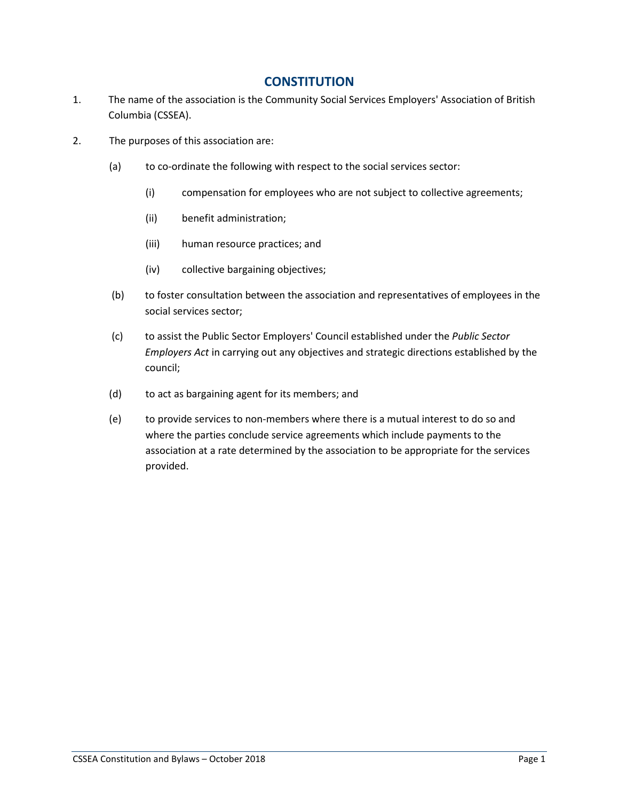# **CONSTITUTION**

- 1. The name of the association is the Community Social Services Employers' Association of British Columbia (CSSEA).
- 2. The purposes of this association are:
	- (a) to co-ordinate the following with respect to the social services sector:
		- (i) compensation for employees who are not subject to collective agreements;
		- (ii) benefit administration;
		- (iii) human resource practices; and
		- (iv) collective bargaining objectives;
	- (b) to foster consultation between the association and representatives of employees in the social services sector;
	- (c) to assist the Public Sector Employers' Council established under the *Public Sector Employers Act* in carrying out any objectives and strategic directions established by the council;
	- (d) to act as bargaining agent for its members; and
	- (e) to provide services to non-members where there is a mutual interest to do so and where the parties conclude service agreements which include payments to the association at a rate determined by the association to be appropriate for the services provided.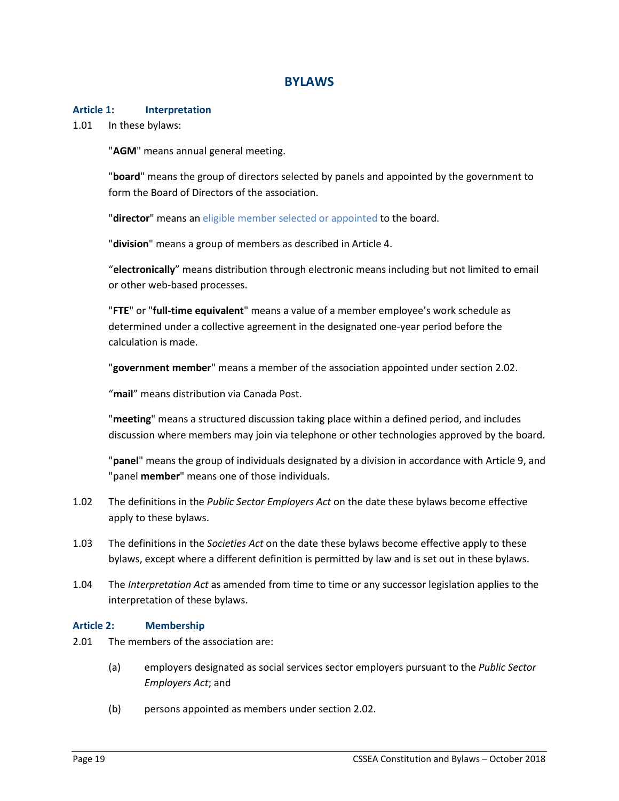# **BYLAWS**

#### **Article 1: Interpretation**

1.01 In these bylaws:

"**AGM**" means annual general meeting.

"**board**" means the group of directors selected by panels and appointed by the government to form the Board of Directors of the association.

"**director**" means an eligible member selected or appointed to the board.

"**division**" means a group of members as described in Article 4.

"**electronically**" means distribution through electronic means including but not limited to email or other web-based processes.

"**FTE**" or "**full-time equivalent**" means a value of a member employee's work schedule as determined under a collective agreement in the designated one-year period before the calculation is made.

"**government member**" means a member of the association appointed under section 2.02.

"**mail**" means distribution via Canada Post.

"**meeting**" means a structured discussion taking place within a defined period, and includes discussion where members may join via telephone or other technologies approved by the board.

"**panel**" means the group of individuals designated by a division in accordance with Article 9, and "panel **member**" means one of those individuals.

- 1.02 The definitions in the *Public Sector Employers Act* on the date these bylaws become effective apply to these bylaws.
- 1.03 The definitions in the *Societies Act* on the date these bylaws become effective apply to these bylaws, except where a different definition is permitted by law and is set out in these bylaws.
- 1.04 The *Interpretation Act* as amended from time to time or any successor legislation applies to the interpretation of these bylaws.

#### **Article 2: Membership**

- 2.01 The members of the association are:
	- (a) employers designated as social services sector employers pursuant to the *Public Sector Employers Act*; and
	- (b) persons appointed as members under section 2.02.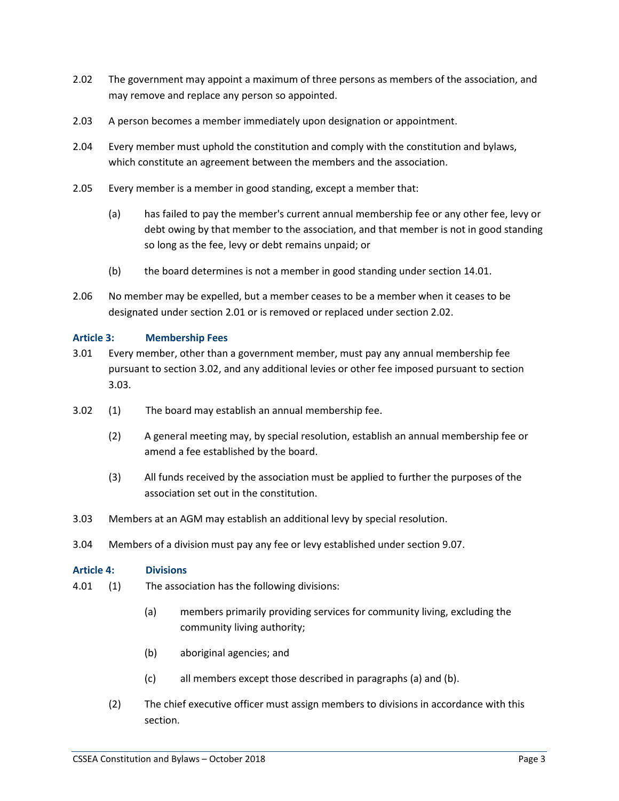- 2.02 The government may appoint a maximum of three persons as members of the association, and may remove and replace any person so appointed.
- 2.03 A person becomes a member immediately upon designation or appointment.
- 2.04 Every member must uphold the constitution and comply with the constitution and bylaws, which constitute an agreement between the members and the association.
- 2.05 Every member is a member in good standing, except a member that:
	- (a) has failed to pay the member's current annual membership fee or any other fee, levy or debt owing by that member to the association, and that member is not in good standing so long as the fee, levy or debt remains unpaid; or
	- (b) the board determines is not a member in good standing under section 14.01.
- 2.06 No member may be expelled, but a member ceases to be a member when it ceases to be designated under section 2.01 or is removed or replaced under section 2.02.

#### **Article 3: Membership Fees**

- 3.01 Every member, other than a government member, must pay any annual membership fee pursuant to section 3.02, and any additional levies or other fee imposed pursuant to section 3.03.
- 3.02 (1) The board may establish an annual membership fee.
	- (2) A general meeting may, by special resolution, establish an annual membership fee or amend a fee established by the board.
	- (3) All funds received by the association must be applied to further the purposes of the association set out in the constitution.
- 3.03 Members at an AGM may establish an additional levy by special resolution.
- 3.04 Members of a division must pay any fee or levy established under section 9.07.

#### **Article 4: Divisions**

- 4.01 (1) The association has the following divisions:
	- (a) members primarily providing services for community living, excluding the community living authority;
	- (b) aboriginal agencies; and
	- (c) all members except those described in paragraphs (a) and (b).
	- (2) The chief executive officer must assign members to divisions in accordance with this section.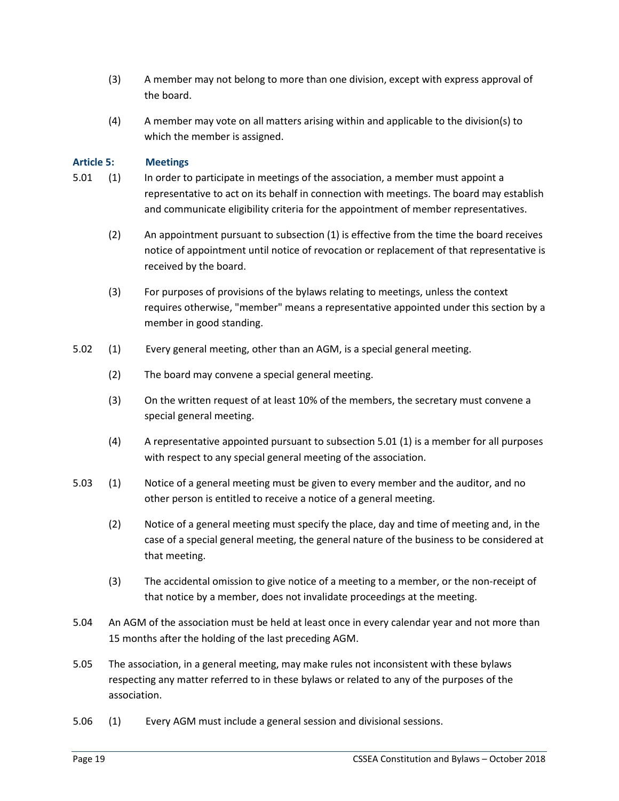- (3) A member may not belong to more than one division, except with express approval of the board.
- (4) A member may vote on all matters arising within and applicable to the division(s) to which the member is assigned.

#### **Article 5: Meetings**

- 5.01 (1) In order to participate in meetings of the association, a member must appoint a representative to act on its behalf in connection with meetings. The board may establish and communicate eligibility criteria for the appointment of member representatives.
	- (2) An appointment pursuant to subsection (1) is effective from the time the board receives notice of appointment until notice of revocation or replacement of that representative is received by the board.
	- (3) For purposes of provisions of the bylaws relating to meetings, unless the context requires otherwise, "member" means a representative appointed under this section by a member in good standing.
- 5.02 (1) Every general meeting, other than an AGM, is a special general meeting.
	- (2) The board may convene a special general meeting.
	- (3) On the written request of at least 10% of the members, the secretary must convene a special general meeting.
	- (4) A representative appointed pursuant to subsection 5.01 (1) is a member for all purposes with respect to any special general meeting of the association.
- 5.03 (1) Notice of a general meeting must be given to every member and the auditor, and no other person is entitled to receive a notice of a general meeting.
	- (2) Notice of a general meeting must specify the place, day and time of meeting and, in the case of a special general meeting, the general nature of the business to be considered at that meeting.
	- (3) The accidental omission to give notice of a meeting to a member, or the non-receipt of that notice by a member, does not invalidate proceedings at the meeting.
- 5.04 An AGM of the association must be held at least once in every calendar year and not more than 15 months after the holding of the last preceding AGM.
- 5.05 The association, in a general meeting, may make rules not inconsistent with these bylaws respecting any matter referred to in these bylaws or related to any of the purposes of the association.
- 5.06 (1) Every AGM must include a general session and divisional sessions.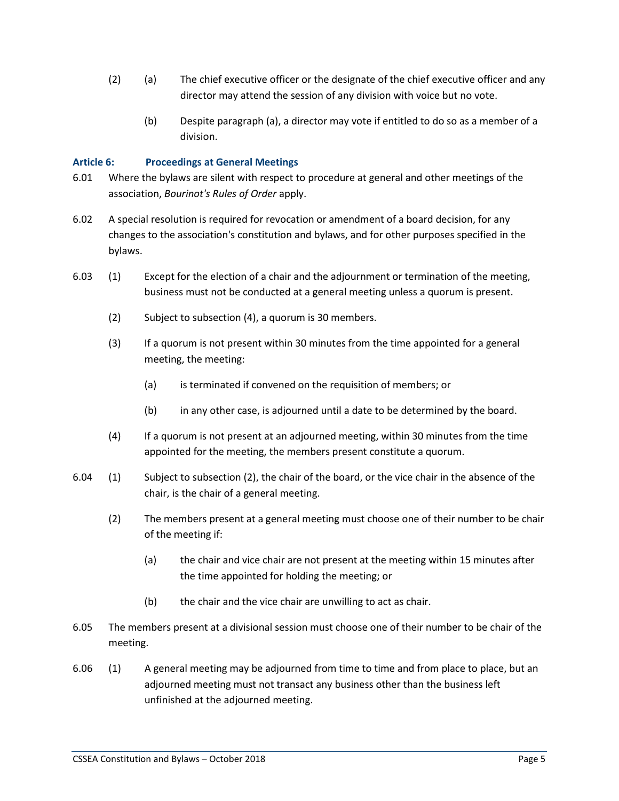- (2) (a) The chief executive officer or the designate of the chief executive officer and any director may attend the session of any division with voice but no vote.
	- (b) Despite paragraph (a), a director may vote if entitled to do so as a member of a division.

#### **Article 6: Proceedings at General Meetings**

- 6.01 Where the bylaws are silent with respect to procedure at general and other meetings of the association, *Bourinot's Rules of Order* apply.
- 6.02 A special resolution is required for revocation or amendment of a board decision, for any changes to the association's constitution and bylaws, and for other purposes specified in the bylaws.
- 6.03 (1) Except for the election of a chair and the adjournment or termination of the meeting, business must not be conducted at a general meeting unless a quorum is present.
	- (2) Subject to subsection (4), a quorum is 30 members.
	- (3) If a quorum is not present within 30 minutes from the time appointed for a general meeting, the meeting:
		- (a) is terminated if convened on the requisition of members; or
		- (b) in any other case, is adjourned until a date to be determined by the board.
	- (4) If a quorum is not present at an adjourned meeting, within 30 minutes from the time appointed for the meeting, the members present constitute a quorum.
- 6.04 (1) Subject to subsection (2), the chair of the board, or the vice chair in the absence of the chair, is the chair of a general meeting.
	- (2) The members present at a general meeting must choose one of their number to be chair of the meeting if:
		- (a) the chair and vice chair are not present at the meeting within 15 minutes after the time appointed for holding the meeting; or
		- (b) the chair and the vice chair are unwilling to act as chair.
- 6.05 The members present at a divisional session must choose one of their number to be chair of the meeting.
- 6.06 (1) A general meeting may be adjourned from time to time and from place to place, but an adjourned meeting must not transact any business other than the business left unfinished at the adjourned meeting.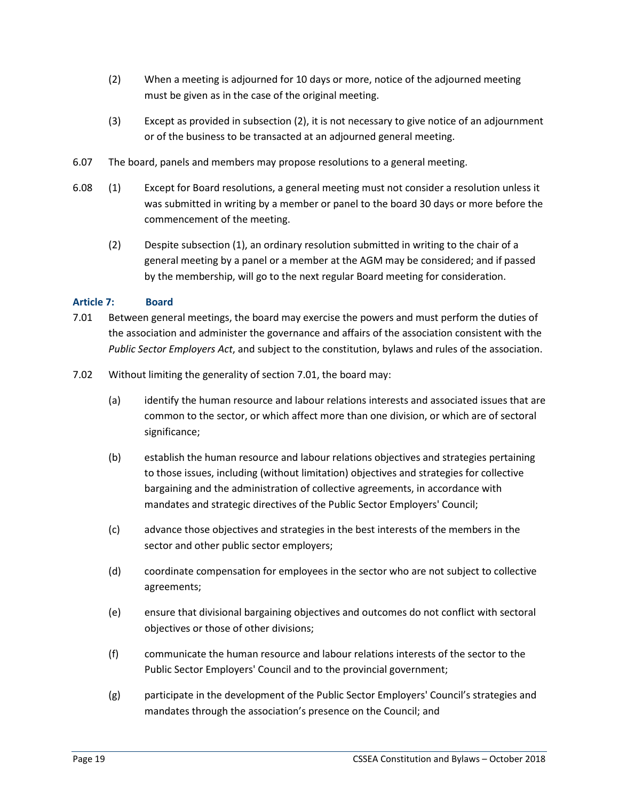- (2) When a meeting is adjourned for 10 days or more, notice of the adjourned meeting must be given as in the case of the original meeting.
- (3) Except as provided in subsection (2), it is not necessary to give notice of an adjournment or of the business to be transacted at an adjourned general meeting.
- 6.07 The board, panels and members may propose resolutions to a general meeting.
- 6.08 (1) Except for Board resolutions, a general meeting must not consider a resolution unless it was submitted in writing by a member or panel to the board 30 days or more before the commencement of the meeting.
	- (2) Despite subsection (1), an ordinary resolution submitted in writing to the chair of a general meeting by a panel or a member at the AGM may be considered; and if passed by the membership, will go to the next regular Board meeting for consideration.

## **Article 7: Board**

- 7.01 Between general meetings, the board may exercise the powers and must perform the duties of the association and administer the governance and affairs of the association consistent with the *Public Sector Employers Act*, and subject to the constitution, bylaws and rules of the association.
- 7.02 Without limiting the generality of section 7.01, the board may:
	- (a) identify the human resource and labour relations interests and associated issues that are common to the sector, or which affect more than one division, or which are of sectoral significance;
	- (b) establish the human resource and labour relations objectives and strategies pertaining to those issues, including (without limitation) objectives and strategies for collective bargaining and the administration of collective agreements, in accordance with mandates and strategic directives of the Public Sector Employers' Council;
	- (c) advance those objectives and strategies in the best interests of the members in the sector and other public sector employers;
	- (d) coordinate compensation for employees in the sector who are not subject to collective agreements;
	- (e) ensure that divisional bargaining objectives and outcomes do not conflict with sectoral objectives or those of other divisions;
	- (f) communicate the human resource and labour relations interests of the sector to the Public Sector Employers' Council and to the provincial government;
	- (g) participate in the development of the Public Sector Employers' Council's strategies and mandates through the association's presence on the Council; and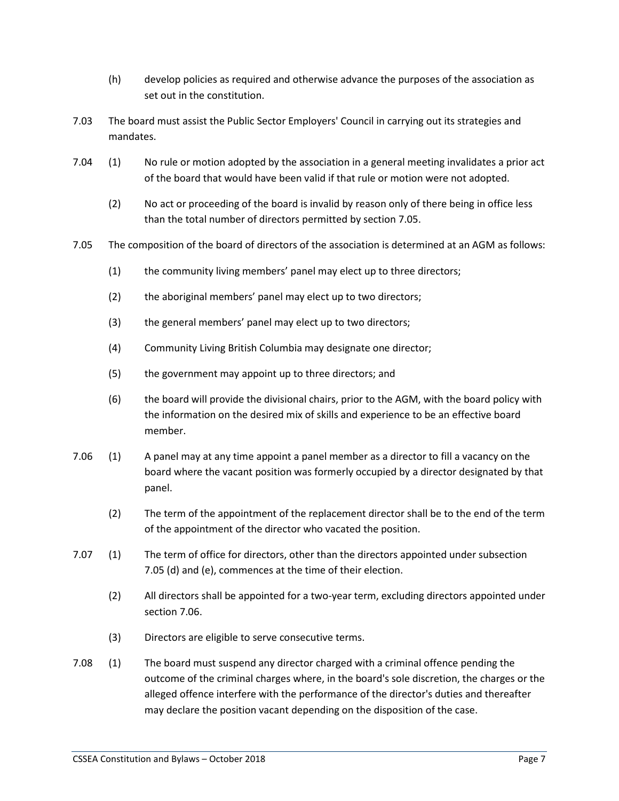- (h) develop policies as required and otherwise advance the purposes of the association as set out in the constitution.
- 7.03 The board must assist the Public Sector Employers' Council in carrying out its strategies and mandates.
- 7.04 (1) No rule or motion adopted by the association in a general meeting invalidates a prior act of the board that would have been valid if that rule or motion were not adopted.
	- (2) No act or proceeding of the board is invalid by reason only of there being in office less than the total number of directors permitted by section 7.05.
- 7.05 The composition of the board of directors of the association is determined at an AGM as follows:
	- (1) the community living members' panel may elect up to three directors;
	- (2) the aboriginal members' panel may elect up to two directors;
	- (3) the general members' panel may elect up to two directors;
	- (4) Community Living British Columbia may designate one director;
	- (5) the government may appoint up to three directors; and
	- (6) the board will provide the divisional chairs, prior to the AGM, with the board policy with the information on the desired mix of skills and experience to be an effective board member.
- 7.06 (1) A panel may at any time appoint a panel member as a director to fill a vacancy on the board where the vacant position was formerly occupied by a director designated by that panel.
	- (2) The term of the appointment of the replacement director shall be to the end of the term of the appointment of the director who vacated the position.
- 7.07 (1) The term of office for directors, other than the directors appointed under subsection 7.05 (d) and (e), commences at the time of their election.
	- (2) All directors shall be appointed for a two-year term, excluding directors appointed under section 7.06.
	- (3) Directors are eligible to serve consecutive terms.
- 7.08 (1) The board must suspend any director charged with a criminal offence pending the outcome of the criminal charges where, in the board's sole discretion, the charges or the alleged offence interfere with the performance of the director's duties and thereafter may declare the position vacant depending on the disposition of the case.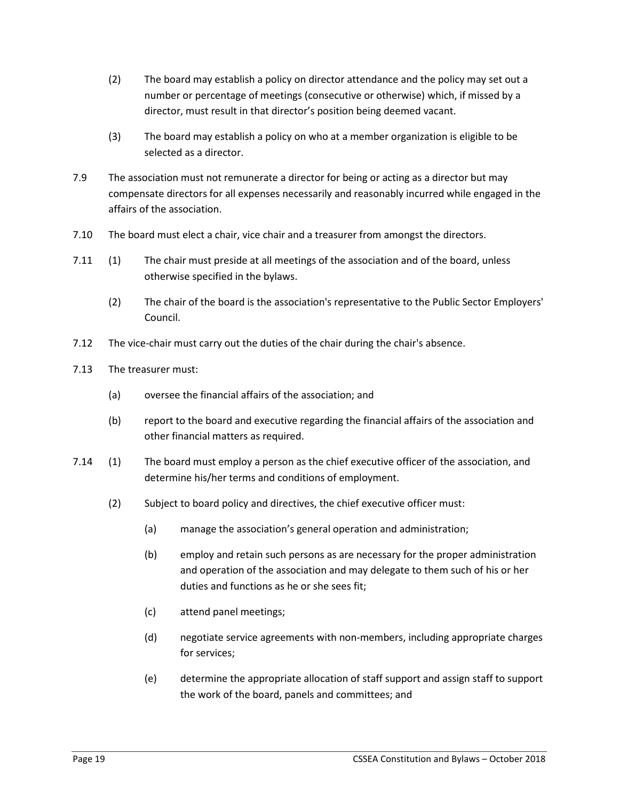- (2) The board may establish a policy on director attendance and the policy may set out a number or percentage of meetings (consecutive or otherwise) which, if missed by a director, must result in that director's position being deemed vacant.
- (3) The board may establish a policy on who at a member organization is eligible to be selected as a director.
- 7.9 The association must not remunerate a director for being or acting as a director but may compensate directors for all expenses necessarily and reasonably incurred while engaged in the affairs of the association.
- 7.10 The board must elect a chair, vice chair and a treasurer from amongst the directors.
- 7.11 (1) The chair must preside at all meetings of the association and of the board, unless otherwise specified in the bylaws.
	- (2) The chair of the board is the association's representative to the Public Sector Employers' Council.
- 7.12 The vice-chair must carry out the duties of the chair during the chair's absence.
- 7.13 The treasurer must:
	- (a) oversee the financial affairs of the association; and
	- (b) report to the board and executive regarding the financial affairs of the association and other financial matters as required.
- 7.14 (1) The board must employ a person as the chief executive officer of the association, and determine his/her terms and conditions of employment.
	- (2) Subject to board policy and directives, the chief executive officer must:
		- (a) manage the association's general operation and administration;
		- (b) employ and retain such persons as are necessary for the proper administration and operation of the association and may delegate to them such of his or her duties and functions as he or she sees fit;
		- (c) attend panel meetings;
		- (d) negotiate service agreements with non-members, including appropriate charges for services;
		- (e) determine the appropriate allocation of staff support and assign staff to support the work of the board, panels and committees; and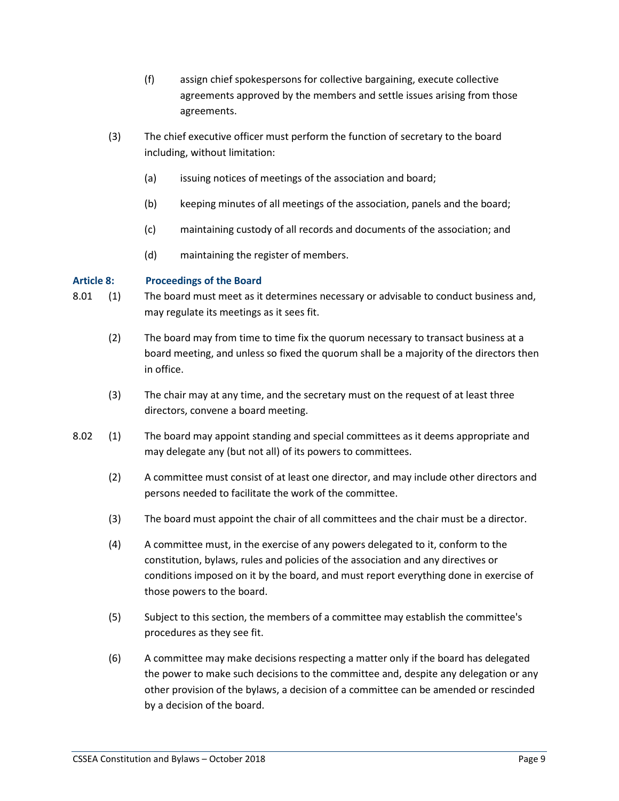- (f) assign chief spokespersons for collective bargaining, execute collective agreements approved by the members and settle issues arising from those agreements.
- (3) The chief executive officer must perform the function of secretary to the board including, without limitation:
	- (a) issuing notices of meetings of the association and board;
	- (b) keeping minutes of all meetings of the association, panels and the board;
	- (c) maintaining custody of all records and documents of the association; and
	- (d) maintaining the register of members.

#### **Article 8: Proceedings of the Board**

- 8.01 (1) The board must meet as it determines necessary or advisable to conduct business and, may regulate its meetings as it sees fit.
	- (2) The board may from time to time fix the quorum necessary to transact business at a board meeting, and unless so fixed the quorum shall be a majority of the directors then in office.
	- (3) The chair may at any time, and the secretary must on the request of at least three directors, convene a board meeting.
- 8.02 (1) The board may appoint standing and special committees as it deems appropriate and may delegate any (but not all) of its powers to committees.
	- (2) A committee must consist of at least one director, and may include other directors and persons needed to facilitate the work of the committee.
	- (3) The board must appoint the chair of all committees and the chair must be a director.
	- (4) A committee must, in the exercise of any powers delegated to it, conform to the constitution, bylaws, rules and policies of the association and any directives or conditions imposed on it by the board, and must report everything done in exercise of those powers to the board.
	- (5) Subject to this section, the members of a committee may establish the committee's procedures as they see fit.
	- (6) A committee may make decisions respecting a matter only if the board has delegated the power to make such decisions to the committee and, despite any delegation or any other provision of the bylaws, a decision of a committee can be amended or rescinded by a decision of the board.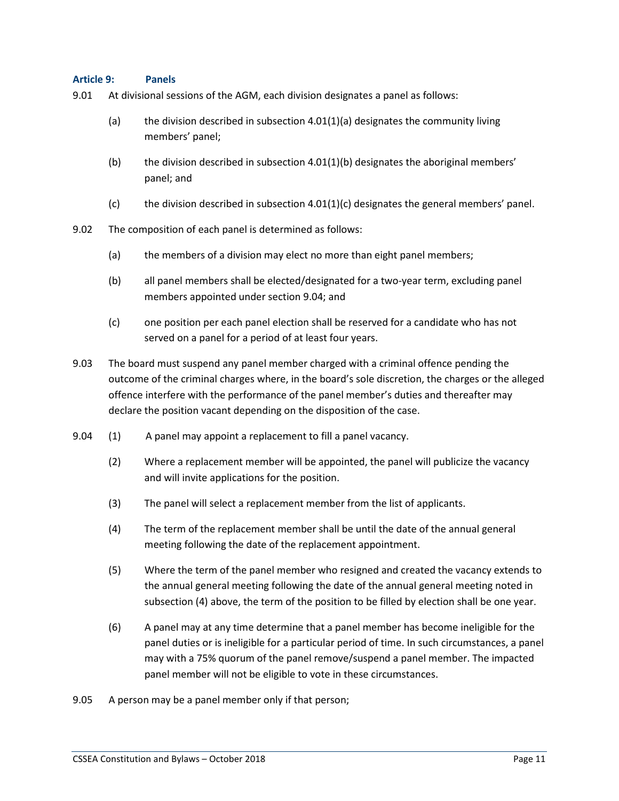#### **Article 9: Panels**

- 9.01 At divisional sessions of the AGM, each division designates a panel as follows:
	- (a) the division described in subsection  $4.01(1)(a)$  designates the community living members' panel;
	- (b) the division described in subsection  $4.01(1)(b)$  designates the aboriginal members' panel; and
	- (c) the division described in subsection  $4.01(1)(c)$  designates the general members' panel.
- 9.02 The composition of each panel is determined as follows:
	- (a) the members of a division may elect no more than eight panel members;
	- (b) all panel members shall be elected/designated for a two-year term, excluding panel members appointed under section 9.04; and
	- (c) one position per each panel election shall be reserved for a candidate who has not served on a panel for a period of at least four years.
- 9.03 The board must suspend any panel member charged with a criminal offence pending the outcome of the criminal charges where, in the board's sole discretion, the charges or the alleged offence interfere with the performance of the panel member's duties and thereafter may declare the position vacant depending on the disposition of the case.
- 9.04 (1) A panel may appoint a replacement to fill a panel vacancy.
	- (2) Where a replacement member will be appointed, the panel will publicize the vacancy and will invite applications for the position.
	- (3) The panel will select a replacement member from the list of applicants.
	- (4) The term of the replacement member shall be until the date of the annual general meeting following the date of the replacement appointment.
	- (5) Where the term of the panel member who resigned and created the vacancy extends to the annual general meeting following the date of the annual general meeting noted in subsection (4) above, the term of the position to be filled by election shall be one year.
	- (6) A panel may at any time determine that a panel member has become ineligible for the panel duties or is ineligible for a particular period of time. In such circumstances, a panel may with a 75% quorum of the panel remove/suspend a panel member. The impacted panel member will not be eligible to vote in these circumstances.
- 9.05 A person may be a panel member only if that person;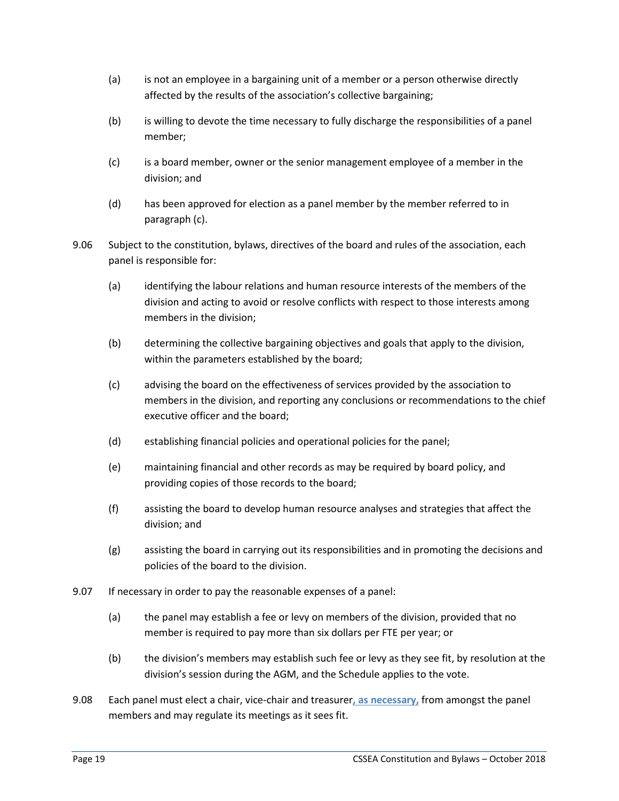- (a) is not an employee in a bargaining unit of a member or a person otherwise directly affected by the results of the association's collective bargaining;
- (b) is willing to devote the time necessary to fully discharge the responsibilities of a panel member;
- (c) is a board member, owner or the senior management employee of a member in the division; and
- (d) has been approved for election as a panel member by the member referred to in paragraph (c).
- 9.06 Subject to the constitution, bylaws, directives of the board and rules of the association, each panel is responsible for:
	- (a) identifying the labour relations and human resource interests of the members of the division and acting to avoid or resolve conflicts with respect to those interests among members in the division;
	- (b) determining the collective bargaining objectives and goals that apply to the division, within the parameters established by the board;
	- (c) advising the board on the effectiveness of services provided by the association to members in the division, and reporting any conclusions or recommendations to the chief executive officer and the board;
	- (d) establishing financial policies and operational policies for the panel;
	- (e) maintaining financial and other records as may be required by board policy, and providing copies of those records to the board;
	- (f) assisting the board to develop human resource analyses and strategies that affect the division; and
	- (g) assisting the board in carrying out its responsibilities and in promoting the decisions and policies of the board to the division.
- 9.07 If necessary in order to pay the reasonable expenses of a panel:
	- (a) the panel may establish a fee or levy on members of the division, provided that no member is required to pay more than six dollars per FTE per year; or
	- (b) the division's members may establish such fee or levy as they see fit, by resolution at the division's session during the AGM, and the Schedule applies to the vote.
- 9.08 Each panel must elect a chair, vice-chair and treasurer**, as necessary,** from amongst the panel members and may regulate its meetings as it sees fit.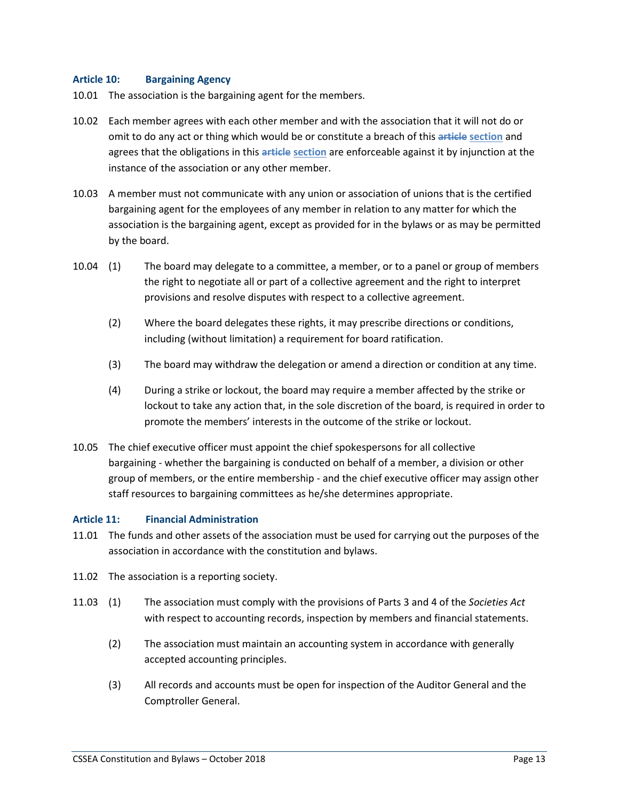#### **Article 10: Bargaining Agency**

- 10.01 The association is the bargaining agent for the members.
- 10.02 Each member agrees with each other member and with the association that it will not do or omit to do any act or thing which would be or constitute a breach of this **article section** and agrees that the obligations in this **article section** are enforceable against it by injunction at the instance of the association or any other member.
- 10.03 A member must not communicate with any union or association of unions that is the certified bargaining agent for the employees of any member in relation to any matter for which the association is the bargaining agent, except as provided for in the bylaws or as may be permitted by the board.
- 10.04 (1) The board may delegate to a committee, a member, or to a panel or group of members the right to negotiate all or part of a collective agreement and the right to interpret provisions and resolve disputes with respect to a collective agreement.
	- (2) Where the board delegates these rights, it may prescribe directions or conditions, including (without limitation) a requirement for board ratification.
	- (3) The board may withdraw the delegation or amend a direction or condition at any time.
	- (4) During a strike or lockout, the board may require a member affected by the strike or lockout to take any action that, in the sole discretion of the board, is required in order to promote the members' interests in the outcome of the strike or lockout.
- 10.05 The chief executive officer must appoint the chief spokespersons for all collective bargaining - whether the bargaining is conducted on behalf of a member, a division or other group of members, or the entire membership - and the chief executive officer may assign other staff resources to bargaining committees as he/she determines appropriate.

#### **Article 11: Financial Administration**

- 11.01 The funds and other assets of the association must be used for carrying out the purposes of the association in accordance with the constitution and bylaws.
- 11.02 The association is a reporting society.
- 11.03 (1) The association must comply with the provisions of Parts 3 and 4 of the *Societies Act* with respect to accounting records, inspection by members and financial statements.
	- (2) The association must maintain an accounting system in accordance with generally accepted accounting principles.
	- (3) All records and accounts must be open for inspection of the Auditor General and the Comptroller General.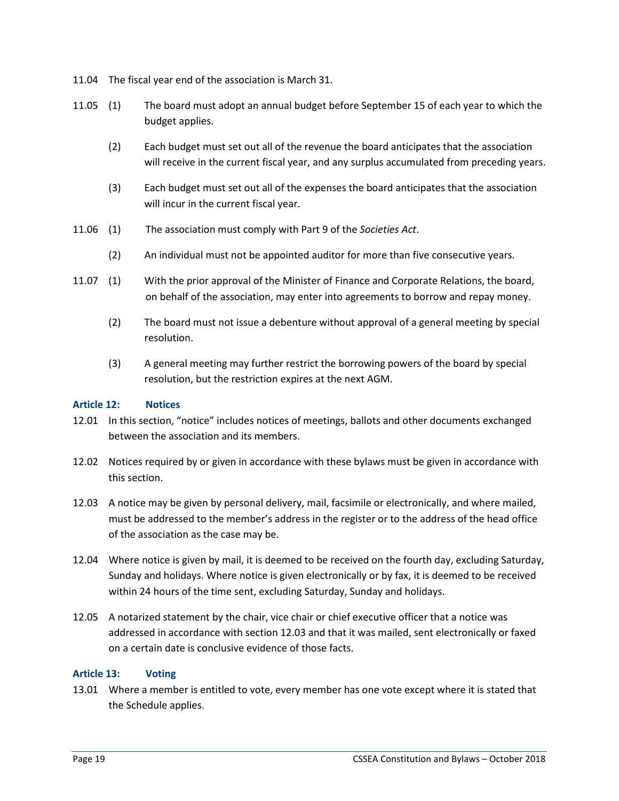- 11.04 The fiscal year end of the association is March 31.
- 11.05 (1) The board must adopt an annual budget before September 15 of each year to which the budget applies.
	- (2) Each budget must set out all of the revenue the board anticipates that the association will receive in the current fiscal year, and any surplus accumulated from preceding years.
	- (3) Each budget must set out all of the expenses the board anticipates that the association will incur in the current fiscal year.
- 11.06 (1) The association must comply with Part 9 of the *Societies Act*.
	- (2) An individual must not be appointed auditor for more than five consecutive years.
- 11.07 (1) With the prior approval of the Minister of Finance and Corporate Relations, the board, on behalf of the association, may enter into agreements to borrow and repay money.
	- (2) The board must not issue a debenture without approval of a general meeting by special resolution.
	- (3) A general meeting may further restrict the borrowing powers of the board by special resolution, but the restriction expires at the next AGM.

#### **Article 12: Notices**

- 12.01 In this section, "notice" includes notices of meetings, ballots and other documents exchanged between the association and its members.
- 12.02 Notices required by or given in accordance with these bylaws must be given in accordance with this section.
- 12.03 A notice may be given by personal delivery, mail, facsimile or electronically, and where mailed, must be addressed to the member's address in the register or to the address of the head office of the association as the case may be.
- 12.04 Where notice is given by mail, it is deemed to be received on the fourth day, excluding Saturday, Sunday and holidays. Where notice is given electronically or by fax, it is deemed to be received within 24 hours of the time sent, excluding Saturday, Sunday and holidays.
- 12.05 A notarized statement by the chair, vice chair or chief executive officer that a notice was addressed in accordance with section 12.03 and that it was mailed, sent electronically or faxed on a certain date is conclusive evidence of those facts.

#### **Article 13: Voting**

13.01 Where a member is entitled to vote, every member has one vote except where it is stated that the Schedule applies.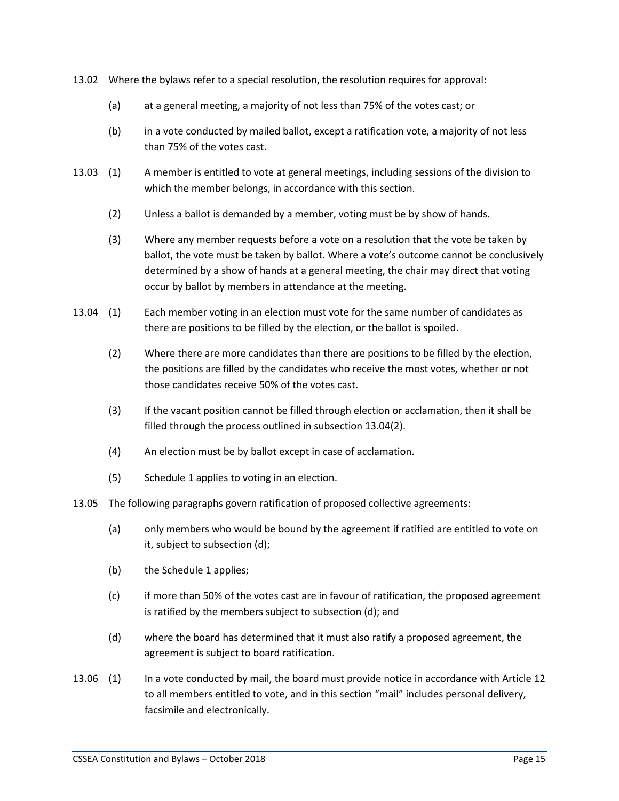- 13.02 Where the bylaws refer to a special resolution, the resolution requires for approval:
	- (a) at a general meeting, a majority of not less than 75% of the votes cast; or
	- (b) in a vote conducted by mailed ballot, except a ratification vote, a majority of not less than 75% of the votes cast.
- 13.03 (1) A member is entitled to vote at general meetings, including sessions of the division to which the member belongs, in accordance with this section.
	- (2) Unless a ballot is demanded by a member, voting must be by show of hands.
	- (3) Where any member requests before a vote on a resolution that the vote be taken by ballot, the vote must be taken by ballot. Where a vote's outcome cannot be conclusively determined by a show of hands at a general meeting, the chair may direct that voting occur by ballot by members in attendance at the meeting.
- 13.04 (1) Each member voting in an election must vote for the same number of candidates as there are positions to be filled by the election, or the ballot is spoiled.
	- (2) Where there are more candidates than there are positions to be filled by the election, the positions are filled by the candidates who receive the most votes, whether or not those candidates receive 50% of the votes cast.
	- (3) If the vacant position cannot be filled through election or acclamation, then it shall be filled through the process outlined in subsection 13.04(2).
	- (4) An election must be by ballot except in case of acclamation.
	- (5) Schedule 1 applies to voting in an election.
- 13.05 The following paragraphs govern ratification of proposed collective agreements:
	- (a) only members who would be bound by the agreement if ratified are entitled to vote on it, subject to subsection (d);
	- (b) the Schedule 1 applies;
	- (c) if more than 50% of the votes cast are in favour of ratification, the proposed agreement is ratified by the members subject to subsection (d); and
	- (d) where the board has determined that it must also ratify a proposed agreement, the agreement is subject to board ratification.
- 13.06 (1) In a vote conducted by mail, the board must provide notice in accordance with Article 12 to all members entitled to vote, and in this section "mail" includes personal delivery, facsimile and electronically.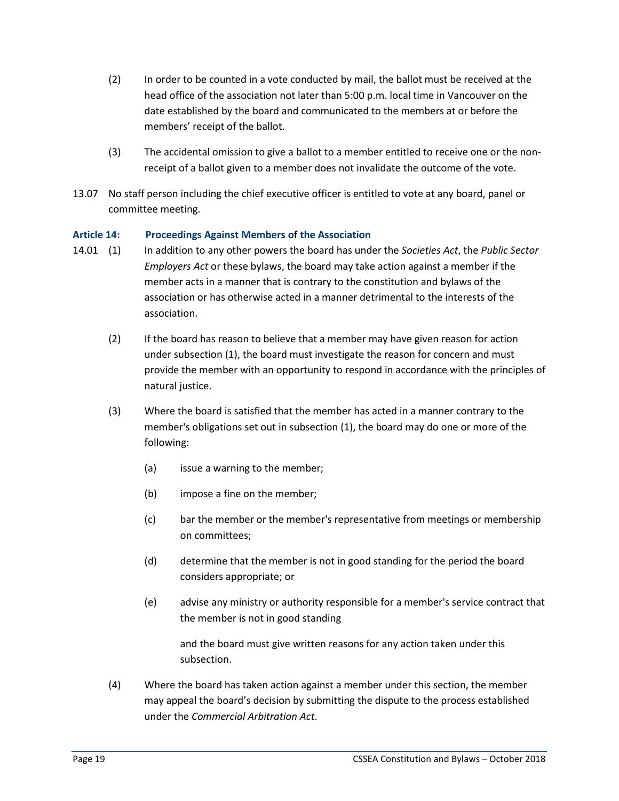- (2) In order to be counted in a vote conducted by mail, the ballot must be received at the head office of the association not later than 5:00 p.m. local time in Vancouver on the date established by the board and communicated to the members at or before the members' receipt of the ballot.
- (3) The accidental omission to give a ballot to a member entitled to receive one or the nonreceipt of a ballot given to a member does not invalidate the outcome of the vote.
- 13.07 No staff person including the chief executive officer is entitled to vote at any board, panel or committee meeting.

#### **Article 14: Proceedings Against Members of the Association**

- 14.01 (1) In addition to any other powers the board has under the *Societies Act*, the *Public Sector Employers Act* or these bylaws, the board may take action against a member if the member acts in a manner that is contrary to the constitution and bylaws of the association or has otherwise acted in a manner detrimental to the interests of the association.
	- (2) If the board has reason to believe that a member may have given reason for action under subsection (1), the board must investigate the reason for concern and must provide the member with an opportunity to respond in accordance with the principles of natural justice.
	- (3) Where the board is satisfied that the member has acted in a manner contrary to the member's obligations set out in subsection (1), the board may do one or more of the following:
		- (a) issue a warning to the member;
		- (b) impose a fine on the member;
		- (c) bar the member or the member's representative from meetings or membership on committees;
		- (d) determine that the member is not in good standing for the period the board considers appropriate; or
		- (e) advise any ministry or authority responsible for a member's service contract that the member is not in good standing

and the board must give written reasons for any action taken under this subsection.

(4) Where the board has taken action against a member under this section, the member may appeal the board's decision by submitting the dispute to the process established under the *Commercial Arbitration Act*.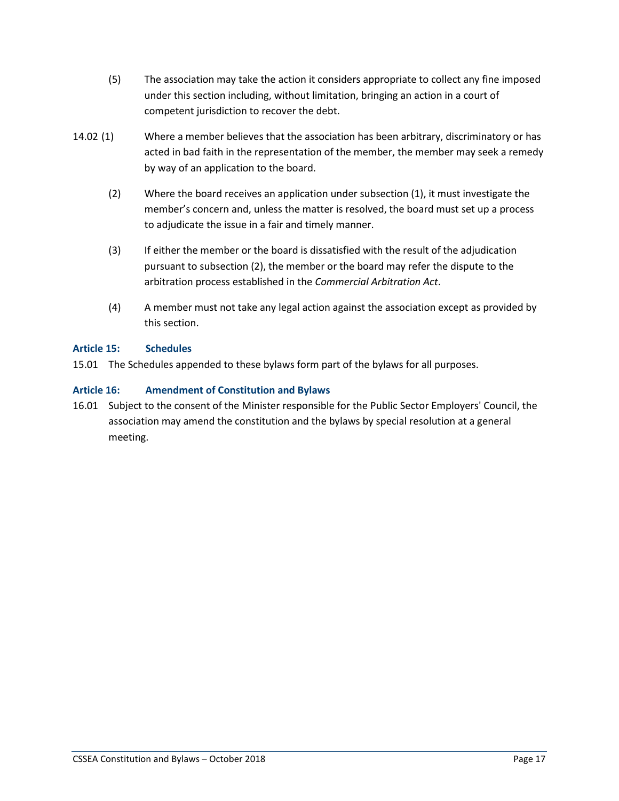- (5) The association may take the action it considers appropriate to collect any fine imposed under this section including, without limitation, bringing an action in a court of competent jurisdiction to recover the debt.
- 14.02 (1) Where a member believes that the association has been arbitrary, discriminatory or has acted in bad faith in the representation of the member, the member may seek a remedy by way of an application to the board.
	- (2) Where the board receives an application under subsection (1), it must investigate the member's concern and, unless the matter is resolved, the board must set up a process to adjudicate the issue in a fair and timely manner.
	- (3) If either the member or the board is dissatisfied with the result of the adjudication pursuant to subsection (2), the member or the board may refer the dispute to the arbitration process established in the *Commercial Arbitration Act*.
	- (4) A member must not take any legal action against the association except as provided by this section.

## **Article 15: Schedules**

15.01 The Schedules appended to these bylaws form part of the bylaws for all purposes.

## **Article 16: Amendment of Constitution and Bylaws**

16.01 Subject to the consent of the Minister responsible for the Public Sector Employers' Council, the association may amend the constitution and the bylaws by special resolution at a general meeting.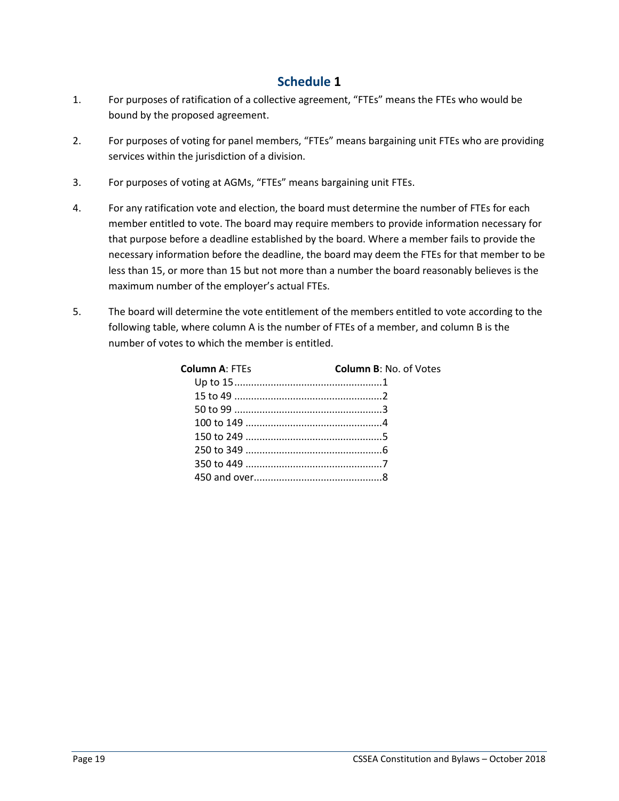# **Schedule 1**

- 1. For purposes of ratification of a collective agreement, "FTEs" means the FTEs who would be bound by the proposed agreement.
- 2. For purposes of voting for panel members, "FTEs" means bargaining unit FTEs who are providing services within the jurisdiction of a division.
- 3. For purposes of voting at AGMs, "FTEs" means bargaining unit FTEs.
- 4. For any ratification vote and election, the board must determine the number of FTEs for each member entitled to vote. The board may require members to provide information necessary for that purpose before a deadline established by the board. Where a member fails to provide the necessary information before the deadline, the board may deem the FTEs for that member to be less than 15, or more than 15 but not more than a number the board reasonably believes is the maximum number of the employer's actual FTEs.
- 5. The board will determine the vote entitlement of the members entitled to vote according to the following table, where column A is the number of FTEs of a member, and column B is the number of votes to which the member is entitled.

| <b>Column A: FTEs</b> | <b>Column B: No. of Votes</b> |
|-----------------------|-------------------------------|
|                       |                               |
|                       |                               |
|                       |                               |
|                       |                               |
|                       |                               |
|                       |                               |
|                       |                               |
|                       |                               |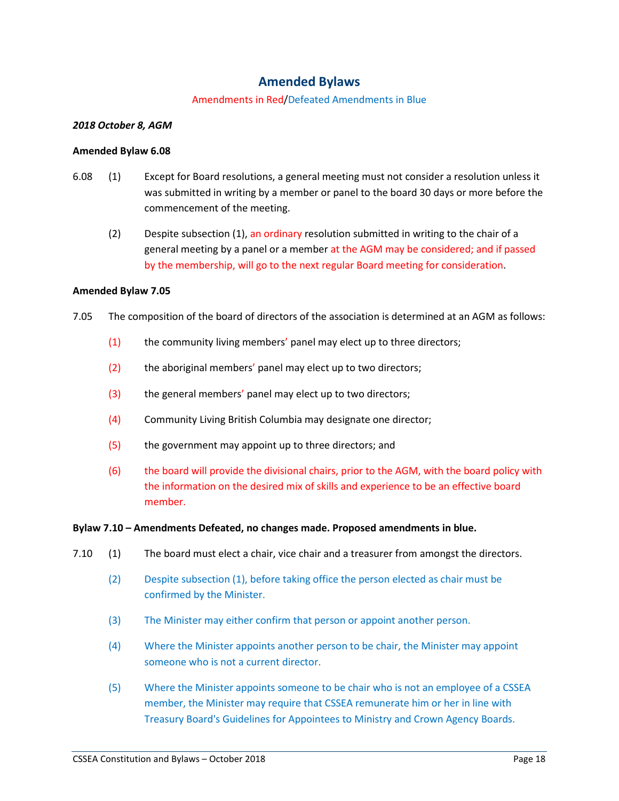# **Amended Bylaws**

#### Amendments in Red/Defeated Amendments in Blue

#### *2018 October 8, AGM*

#### **Amended Bylaw 6.08**

- 6.08 (1) Except for Board resolutions, a general meeting must not consider a resolution unless it was submitted in writing by a member or panel to the board 30 days or more before the commencement of the meeting.
	- (2) Despite subsection (1), an ordinary resolution submitted in writing to the chair of a general meeting by a panel or a member at the AGM may be considered; and if passed by the membership, will go to the next regular Board meeting for consideration.

#### **Amended Bylaw 7.05**

- 7.05 The composition of the board of directors of the association is determined at an AGM as follows:
	- (1) the community living members' panel may elect up to three directors;
	- (2) the aboriginal members' panel may elect up to two directors;
	- (3) the general members' panel may elect up to two directors;
	- (4) Community Living British Columbia may designate one director;
	- (5) the government may appoint up to three directors; and
	- (6) the board will provide the divisional chairs, prior to the AGM, with the board policy with the information on the desired mix of skills and experience to be an effective board member.

#### **Bylaw 7.10 – Amendments Defeated, no changes made. Proposed amendments in blue.**

- 7.10 (1) The board must elect a chair, vice chair and a treasurer from amongst the directors.
	- (2) Despite subsection (1), before taking office the person elected as chair must be confirmed by the Minister.
	- (3) The Minister may either confirm that person or appoint another person.
	- (4) Where the Minister appoints another person to be chair, the Minister may appoint someone who is not a current director.
	- (5) Where the Minister appoints someone to be chair who is not an employee of a CSSEA member, the Minister may require that CSSEA remunerate him or her in line with Treasury Board's Guidelines for Appointees to Ministry and Crown Agency Boards.